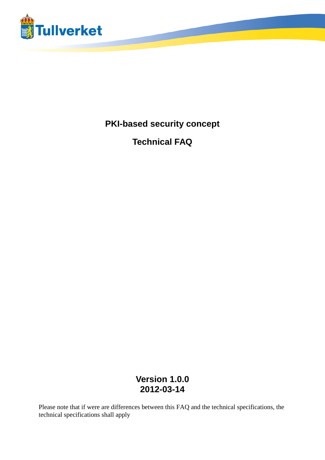

**PKI-based security concept**

**Technical FAQ**

**Version 1.0.0 2012-03-14**

Please note that if were are differences between this FAQ and the technical specifications, the technical specifications shall apply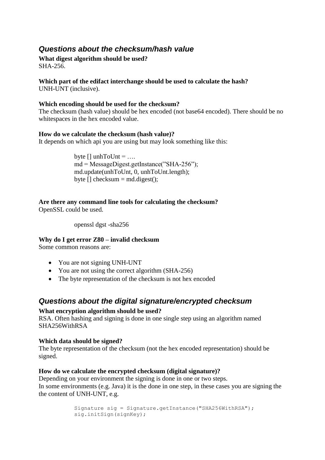## *Questions about the checksum/hash value*

#### **What digest algorithm should be used?** SHA-256.

## **Which part of the edifact interchange should be used to calculate the hash?**

UNH-UNT (inclusive).

#### **Which encoding should be used for the checksum?**

The checksum (hash value) should be hex encoded (not base64 encoded). There should be no whitespaces in the hex encoded value.

#### **How do we calculate the checksum (hash value)?**

It depends on which api you are using but may look something like this:

byte  $[]$  unhToUnt = ... md = MessageDigest.getInstance("SHA-256"); md.update(unhToUnt, 0, unhToUnt.length); byte  $\Box$  checksum = md.digest $\Diamond$ :

#### **Are there any command line tools for calculating the checksum?** OpenSSL could be used.

# **Why do I get error Z80 – invalid checksum**

openssl dgst -sha256

Some common reasons are:

- You are not signing UNH-UNT
- You are not using the correct algorithm (SHA-256)
- The byte representation of the checksum is not hex encoded

## *Questions about the digital signature/encrypted checksum*

## **What encryption algorithm should be used?**

RSA. Often hashing and signing is done in one single step using an algorithm named SHA256WithRSA

## **Which data should be signed?**

The byte representation of the checksum (not the hex encoded representation) should be signed.

## **How do we calculate the encrypted checksum (digital signature)?**

Depending on your environment the signing is done in one or two steps. In some environments (e.g. Java) it is the done in one step, in these cases you are signing the the content of UNH-UNT, e.g.

```
Signature sig = Signature.getInstance("SHA256WithRSA"); 
sig.initSign(signKey);
```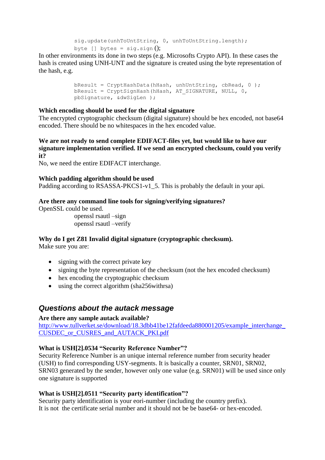```
sig.update(unhToUntString, 0, unhToUntString.length);
byte [] bytes = sig.sign();
```
In other environments its done in two steps (e.g. Microsofts Crypto API). In these cases the hash is created using UNH-UNT and the signature is created using the byte representation of the hash, e.g.

```
bResult = CryptHashData(hHash, unhUntString, cbRead, 0 ); 
bResult = CryptSignHash(hHash, AT SIGNATURE, NULL, 0,
pbSignature, &dwSigLen );
```
#### **Which encoding should be used for the digital signature**

The encrypted cryptographic checksum (digital signature) should be hex encoded, not base64 encoded. There should be no whitespaces in the hex encoded value.

#### **We are not ready to send complete EDIFACT-files yet, but would like to have our signature implementation verified. If we send an encrypted checksum, could you verify it?**

No, we need the entire EDIFACT interchange.

#### **Which padding algorithm should be used**

Padding according to RSASSA-PKCS1-v1\_5. This is probably the default in your api.

#### **Are there any command line tools for signing/verifying signatures?**

OpenSSL could be used.

openssl rsautl –sign openssl rsautl –verify

#### **Why do I get Z81 Invalid digital signature (cryptographic checksum).**

Make sure you are:

- signing with the correct private key
- signing the byte representation of the checksum (not the hex encoded checksum)
- hex encoding the cryptographic checksum
- using the correct algorithm (sha256withrsa)

## *Questions about the autack message*

#### **Are there any sample autack available?**

[http://www.tullverket.se/download/18.3dbb41be12fafdeeda880001205/example\\_interchange\\_](http://www.tullverket.se/download/18.3dbb41be12fafdeeda880001205/example_interchange_CUSDEC_or_CUSRES_and_AUTACK_PKI.pdf) [CUSDEC\\_or\\_CUSRES\\_and\\_AUTACK\\_PKI.pdf](http://www.tullverket.se/download/18.3dbb41be12fafdeeda880001205/example_interchange_CUSDEC_or_CUSRES_and_AUTACK_PKI.pdf)

#### **What is USH[2].0534 "Security Reference Number"?**

Security Reference Number is an unique internal reference number from security header (USH) to find corresponding USY-segments. It is basically a counter, SRN01, SRN02, SRN03 generated by the sender, however only one value (e.g. SRN01) will be used since only one signature is supported

#### **What is USH[2].0511 "Security party identification"?**

Security party identification is your eori-number (including the country prefix). It is not the certificate serial number and it should not be be base64- or hex-encoded.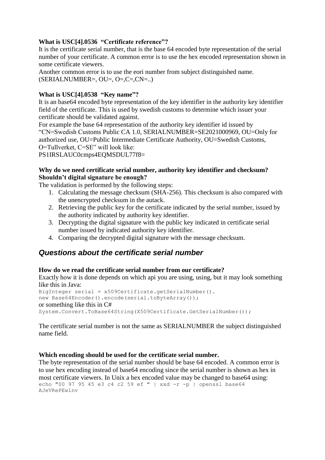## **What is USC[4].0536 "Certificate reference"?**

It is the certificate serial number, that is the base 64 encoded byte representation of the serial number of your certificate. A common error is to use the hex encoded representation shown in some certificate viewers.

Another common error is to use the eori number from subject distinguished name.  $(SERIALNUMBER=, OU=, O=, C=.CN=...)$ 

#### **What is USC[4].0538 "Key name"?**

It is an base64 encoded byte representation of the key identifier in the authority key identifier field of the certificate. This is used by swedish customs to determine which issuer your certificate should be validated against.

For example the base 64 representation of the authority key identifier id issued by "CN=Swedish Customs Public CA 1.0, SERIALNUMBER=SE2021000969, OU=Only for authorized use, OU=Public Intermediate Certificate Authority, OU=Swedish Customs, O=Tullverket, C=SE" will look like:

PS1IRSLAUC0cmps4EQMSDUL77f8=

#### **Why do we need certificate serial number, authority key identifier and checksum? Shouldn't digital signature be enough?**

The validation is performed by the following steps:

- 1. Calculating the message checksum (SHA-256). This checksum is also compared with the unencrypted checksum in the autack.
- 2. Retrieving the public key for the certificate indicated by the serial number, issued by the authority indicated by authority key identifier.
- 3. Decrypting the digital signature with the public key indicated in certificate serial number issued by indicated authority key identifier.
- 4. Comparing the decrypted digital signature with the message checksum.

## *Questions about the certificate serial number*

## **How do we read the certificate serial number from our certificate?**

Exactly how it is done depends on which api you are using, using, but it may look something like this in Java:

```
BigInteger serial = x509Certificate.getSerialNumber().
new Base64Encoder().encode(serial.toByteArray());
or something like this in C#
System.Convert.ToBase64String(X509Certificate.GetSerialNumber());
```
The certificate serial number is not the same as SERIALNUMBER the subject distinguished name field.

#### **Which encoding should be used for the certificate serial number.**

The byte representation of the serial number should be base 64 encoded. A common error is to use hex encoding instead of base64 encoding since the serial number is shown as hex in most certificate viewers. In Unix a hex encoded value may be changed to base64 using: echo "00 97 95 45 e3 c4 c2 59 ef " | xxd -r -p | openssl base64 AJeVRePEwlnv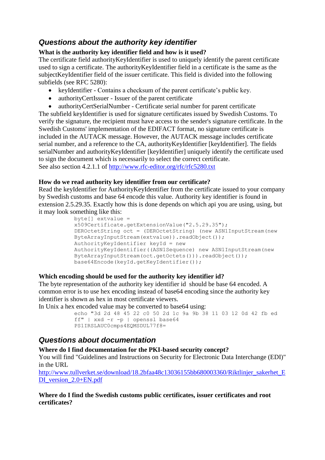# *Questions about the authority key identifier*

## **What is the authority key identifier field and how is it used?**

The certificate field authorityKeyIdentifier is used to uniquely identify the parent certificate used to sign a certificate. The authorityKeyIdentifier field in a certificate is the same as the subjectKeyIdentifier field of the issuer certificate. This field is divided into the following subfields (see RFC 5280):

- keyIdentifier Contains a checksum of the parent certificate's public key.
- authorityCertIssuer Issuer of the parent certificate
- authorityCertSerialNumber Certificate serial number for parent certificate

The subfield keyIdentifier is used for signature certificates issued by Swedish Customs. To verify the signature, the recipient must have access to the sender's signature certificate. In the Swedish Customs' implementation of the EDIFACT format, no signature certificate is included in the AUTACK message. However, the AUTACK message includes certificate serial number, and a reference to the CA, authorityKeyIdentifier [keyIdentifier]. The fields serialNumber and authorityKeyIdentifier [keyIdentifier] uniquely identify the certificate used to sign the document which is necessarily to select the correct certificate. See also section 4.2.1.1 of<http://www.rfc-editor.org/rfc/rfc5280.txt>

## **How do we read authority key identifier from our certificate?**

Read the keyIdentifier for AuthorityKeyIdentifier from the certificate issued to your company by Swedish customs and base 64 encode this value. Authority key identifier is found in extension 2.5.29.35. Exactly how this is done depends on which api you are using, using, but it may look something like this:

```
byte[] extvalue = 
x509Certificate.getExtensionValue("2.5.29.35");
DEROctetString oct = (DEROctetString) (new ASN1InputStream (new
ByteArrayInputStream(extvalue)).readObject());
AuthorityKeyIdentifier keyId = new 
AuthorityKeyIdentifier((ASN1Sequence) new ASN1InputStream(new 
ByteArrayInputStream(oct.getOctets())).readObject());
base64Encode(keyId.getKeyIdentifier());
```
## **Which encoding should be used for the authority key identifier id?**

The byte representation of the authority key identifier id should be base 64 encoded. A common error is to use hex encoding instead of base64 encoding since the authority key identifier is shown as hex in most certificate viewers.

In Unix a hex encoded value may be converted to base64 using:

```
echo "3d 2d 48 45 22 c0 50 2d 1c 9a 9b 38 11 03 12 0d 42 fb ed 
ff" | xxd -r -p | openssl base64
PS1IRSLAUC0cmps4EQMSDUL77f8=
```
## *Questions about documentation*

## **Where do I find documentation for the PKI-based security concept?**

You will find "Guidelines and Instructions on Security for Electronic Data Interchange (EDI)" in the URL

http://www.tullverket.se/download/18.2bfaa48c13036155bb680003360/Riktlinier\_sakerhet\_E [DI\\_version\\_2.0+EN.pdf](http://www.tullverket.se/download/18.2bfaa48c13036155bb680003360/Riktlinjer_sakerhet_EDI_version_2.0+EN.pdf)

**Where do I find the Swedish customs public certificates, issuer certificates and root certificates?**